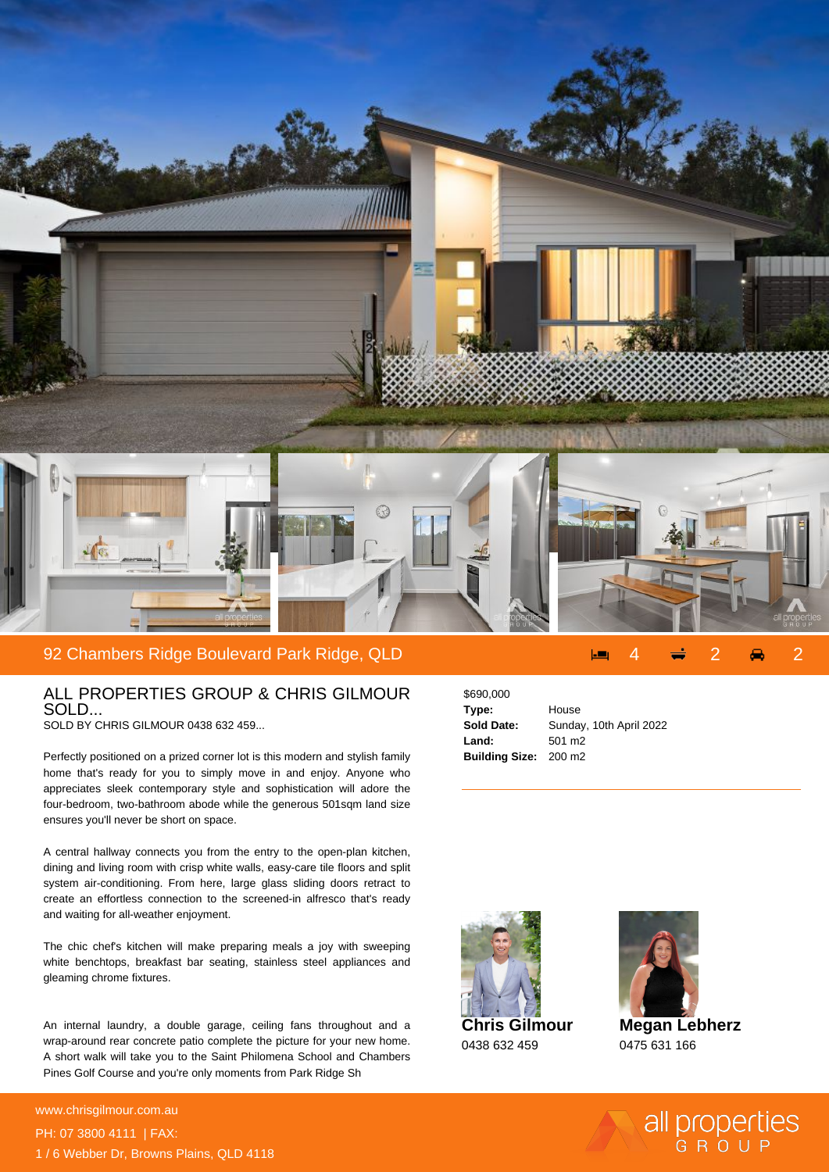

## 92 Chambers Ridge Boulevard Park Ridge, QLD 4 2 2

## ALL PROPERTIES GROUP & CHRIS GILMOUR SOLD...

SOLD BY CHRIS GILMOUR 0438 632 459...

Perfectly positioned on a prized corner lot is this modern and stylish family home that's ready for you to simply move in and enjoy. Anyone who appreciates sleek contemporary style and sophistication will adore the four-bedroom, two-bathroom abode while the generous 501sqm land size ensures you'll never be short on space.

A central hallway connects you from the entry to the open-plan kitchen, dining and living room with crisp white walls, easy-care tile floors and split system air-conditioning. From here, large glass sliding doors retract to create an effortless connection to the screened-in alfresco that's ready and waiting for all-weather enjoyment.

The chic chef's kitchen will make preparing meals a joy with sweeping white benchtops, breakfast bar seating, stainless steel appliances and gleaming chrome fixtures.

An internal laundry, a double garage, ceiling fans throughout and a wrap-around rear concrete patio complete the picture for your new home. A short walk will take you to the Saint Philomena School and Chambers Pines Golf Course and you're only moments from Park Ridge Sh

**For more details please visit** www.chrisgilmour.com.au/694304669466<br>www.chrisgilmour.com.au PH: 07 3800 4111 | FAX: 1 / 6 Webber Dr, Browns Plains, QLD 4118

| \$690,000                    |                         |
|------------------------------|-------------------------|
| Type:                        | House                   |
| <b>Sold Date:</b>            | Sunday, 10th April 2022 |
| Land:                        | 501 m <sub>2</sub>      |
| <b>Building Size: 200 m2</b> |                         |





**Megan Lebherz** 0475 631 166